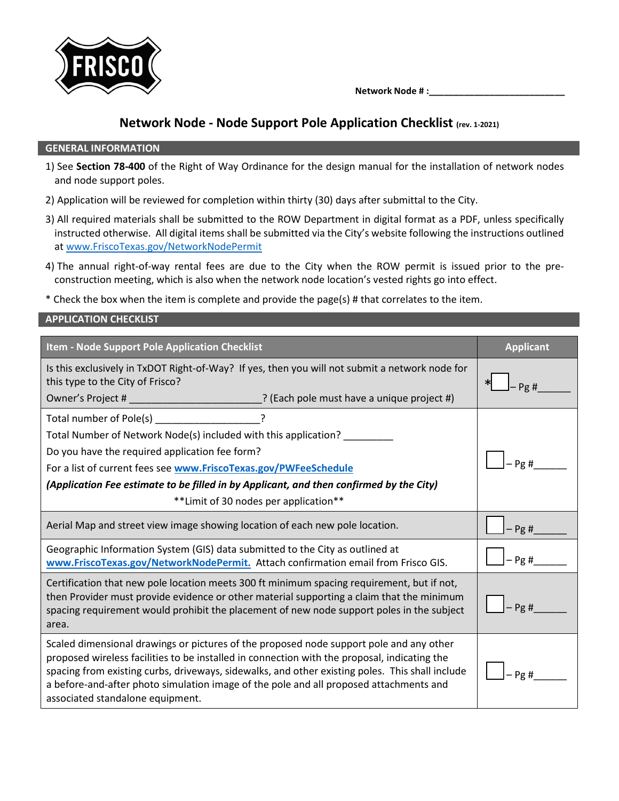

 **Network Node # :\_\_\_\_\_\_\_\_\_\_\_\_\_\_\_\_\_\_\_\_\_\_\_\_\_\_\_**

## **Network Node - Node Support Pole Application Checklist (rev. 1-2021)**

## **GENERAL INFORMATION**

- 1) See **Section 78-400** of the Right of Way Ordinance for the design manual for the installation of network nodes and node support poles.
- 2) Application will be reviewed for completion within thirty (30) days after submittal to the City.
- 3) All required materials shall be submitted to the ROW Department in digital format as a PDF, unless specifically instructed otherwise. All digital items shall be submitted via the City's website following the instructions outlined at [www.FriscoTexas.gov/NetworkNodePermit](http://www.friscotexas.gov/NetworkNodePermit)
- 4) The annual right-of-way rental fees are due to the City when the ROW permit is issued prior to the preconstruction meeting, which is also when the network node location's vested rights go into effect.
- \* Check the box when the item is complete and provide the page(s) # that correlates to the item.

## **APPLICATION CHECKLIST**

| Item - Node Support Pole Application Checklist                                                                                                                                                                                                                                                                                                                                                                           | <b>Applicant</b> |  |
|--------------------------------------------------------------------------------------------------------------------------------------------------------------------------------------------------------------------------------------------------------------------------------------------------------------------------------------------------------------------------------------------------------------------------|------------------|--|
| Is this exclusively in TxDOT Right-of-Way? If yes, then you will not submit a network node for<br>this type to the City of Frisco?<br>Owner's Project # ______________________________? (Each pole must have a unique project #)                                                                                                                                                                                         | Pg#              |  |
|                                                                                                                                                                                                                                                                                                                                                                                                                          |                  |  |
| Total number of Pole(s) ____________________?<br>Total Number of Network Node(s) included with this application? ________                                                                                                                                                                                                                                                                                                |                  |  |
| Do you have the required application fee form?<br>Pg#                                                                                                                                                                                                                                                                                                                                                                    |                  |  |
| For a list of current fees see www.FriscoTexas.gov/PWFeeSchedule                                                                                                                                                                                                                                                                                                                                                         |                  |  |
| (Application Fee estimate to be filled in by Applicant, and then confirmed by the City)                                                                                                                                                                                                                                                                                                                                  |                  |  |
| ** Limit of 30 nodes per application**                                                                                                                                                                                                                                                                                                                                                                                   |                  |  |
| Aerial Map and street view image showing location of each new pole location.                                                                                                                                                                                                                                                                                                                                             | $-Pg#$           |  |
| Geographic Information System (GIS) data submitted to the City as outlined at<br>www.FriscoTexas.gov/NetworkNodePermit. Attach confirmation email from Frisco GIS.                                                                                                                                                                                                                                                       | $-$ Pg #         |  |
| Certification that new pole location meets 300 ft minimum spacing requirement, but if not,<br>then Provider must provide evidence or other material supporting a claim that the minimum<br>spacing requirement would prohibit the placement of new node support poles in the subject<br>area.                                                                                                                            | $-Pg#$           |  |
| Scaled dimensional drawings or pictures of the proposed node support pole and any other<br>proposed wireless facilities to be installed in connection with the proposal, indicating the<br>spacing from existing curbs, driveways, sidewalks, and other existing poles. This shall include<br>a before-and-after photo simulation image of the pole and all proposed attachments and<br>associated standalone equipment. | Pg#              |  |